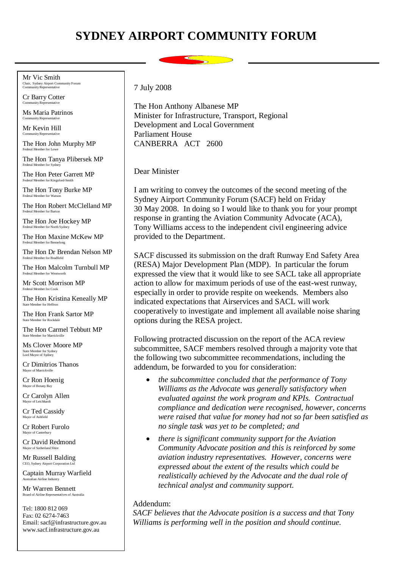## **SYDNEY AIRPORT COMMUNITY FORUM**

Mr Vic Smith Chair, Sydney Airport Community Forum Community Representative

Cr Barry Cotter Community Representative

Ms Maria Patrinos Community Representative

Mr Kevin Hill unity Representativ

The Hon John Murphy MP Federal Member for Lowe

The Hon Tanya Plibersek MP Federal Member for Sydne

The Hon Peter Garrett MP Federal Member for Kingsford-Smith

The Hon Tony Burke MP Federal Member for Wats

The Hon Robert McClelland MP Federal Member for Barton

The Hon Joe Hockey MP Federal Member for North Sydney

The Hon Maxine McKew MP Federal Member for Bennelong

The Hon Dr Brendan Nelson MP Federal Member for Bradfield

The Hon Malcolm Turnbull MP Federal Member for Wentworth

Mr Scott Morrison MP Federal Member for Cook

The Hon Kristina Keneally MP State Member for Heffron

The Hon Frank Sartor MP State Member for Rockdale

The Hon Carmel Tebbutt MP State Member for Marrickvi

Ms Clover Moore MP State Member for Sydney Lord Mayor of Sydney

Cr Dimitrios Thanos Mayor of Marrickville

Cr Ron Hoenig Mayor of Botany Bay

Cr Carolyn Allen Mayor of Leich

Cr Ted Cassidy Mayor of Ashfield

Cr Robert Furolo Mayor of Canterbury

Cr David Redmond Mayor of Su

Mr Russell Balding CEO, Sydney Airport Corporation Li

Captain Murray Warfield Australian Airline Industry

Board of Airline Representatives of Australia Mr Warren Bennett

Tel: 1800 812 069 Fax: 02 6274-7463 Email: sacf@infrastructure.gov.au www.sacf.infrastructure.gov.au

7 July 2008

The Hon Anthony Albanese MP Minister for Infrastructure, Transport, Regional Development and Local Government Parliament House CANBERRA ACT 2600

Dear Minister

I am writing to convey the outcomes of the second meeting of the Sydney Airport Community Forum (SACF) held on Friday 30 May 2008. In doing so I would like to thank you for your prompt response in granting the Aviation Community Advocate (ACA), Tony Williams access to the independent civil engineering advice provided to the Department.

SACF discussed its submission on the draft Runway End Safety Area (RESA) Major Development Plan (MDP). In particular the forum expressed the view that it would like to see SACL take all appropriate action to allow for maximum periods of use of the east-west runway, especially in order to provide respite on weekends. Members also indicated expectations that Airservices and SACL will work cooperatively to investigate and implement all available noise sharing options during the RESA project.

Following protracted discussion on the report of the ACA review subcommittee, SACF members resolved through a majority vote that the following two subcommittee recommendations, including the addendum, be forwarded to you for consideration:

- *the subcommittee concluded that the performance of Tony Williams as the Advocate was generally satisfactory when evaluated against the work program and KPIs. Contractual compliance and dedication were recognised, however, concerns were raised that value for money had not so far been satisfied as no single task was yet to be completed; and*
- *there is significant community support for the Aviation Community Advocate position and this is reinforced by some aviation industry representatives. However, concerns were expressed about the extent of the results which could be realistically achieved by the Advocate and the dual role of technical analyst and community support.*

## Addendum:

*SACF believes that the Advocate position is a success and that Tony Williams is performing well in the position and should continue.*